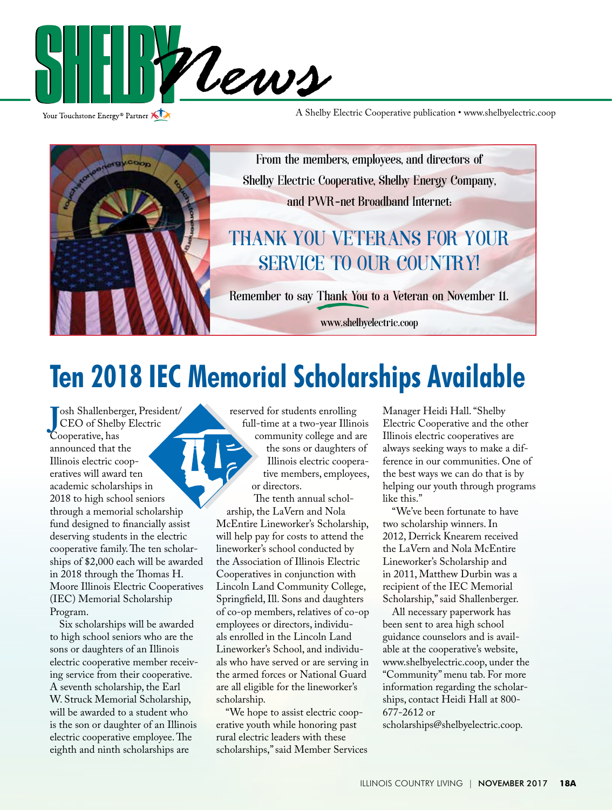

Your Touchstone Energy<sup>®</sup> Partner

A Shelby Electric Cooperative publication • www.shelbyelectric.coop



# **Ten 2018 IEC Memorial Scholarships Available**

**J**CEO of Shelb
Cooperative, has **Cooperative**, has **C** osh Shallenberger, President/ CEO of Shelby Electric announced that the Illinois electric cooperatives will award ten academic scholarships in 2018 to high school seniors through a memorial scholarship fund designed to financially assist deserving students in the electric cooperative family. The ten scholarships of \$2,000 each will be awarded in 2018 through the Thomas H. Moore Illinois Electric Cooperatives (IEC) Memorial Scholarship Program.

 Six scholarships will be awarded to high school seniors who are the sons or daughters of an Illinois electric cooperative member receiving service from their cooperative. A seventh scholarship, the Earl W. Struck Memorial Scholarship, will be awarded to a student who is the son or daughter of an Illinois electric cooperative employee. The eighth and ninth scholarships are

reserved for students enrolling full-time at a two-year Illinois community college and are the sons or daughters of Illinois electric cooperative members, employees, or directors.

The tenth annual scholarship, the LaVern and Nola McEntire Lineworker's Scholarship, will help pay for costs to attend the lineworker's school conducted by the Association of Illinois Electric Cooperatives in conjunction with Lincoln Land Community College, Springfield, Ill. Sons and daughters of co-op members, relatives of co-op employees or directors, individuals enrolled in the Lincoln Land Lineworker's School, and individuals who have served or are serving in the armed forces or National Guard are all eligible for the lineworker's scholarship.

 "We hope to assist electric cooperative youth while honoring past rural electric leaders with these scholarships," said Member Services

Manager Heidi Hall. "Shelby Electric Cooperative and the other Illinois electric cooperatives are always seeking ways to make a difference in our communities. One of the best ways we can do that is by helping our youth through programs like this."

 "We've been fortunate to have two scholarship winners. In 2012, Derrick Knearem received the LaVern and Nola McEntire Lineworker's Scholarship and in 2011, Matthew Durbin was a recipient of the IEC Memorial Scholarship," said Shallenberger.

 All necessary paperwork has been sent to area high school guidance counselors and is available at the cooperative's website, www.shelbyelectric.coop, under the "Community" menu tab. For more information regarding the scholarships, contact Heidi Hall at 800- 677-2612 or

scholarships@shelbyelectric.coop.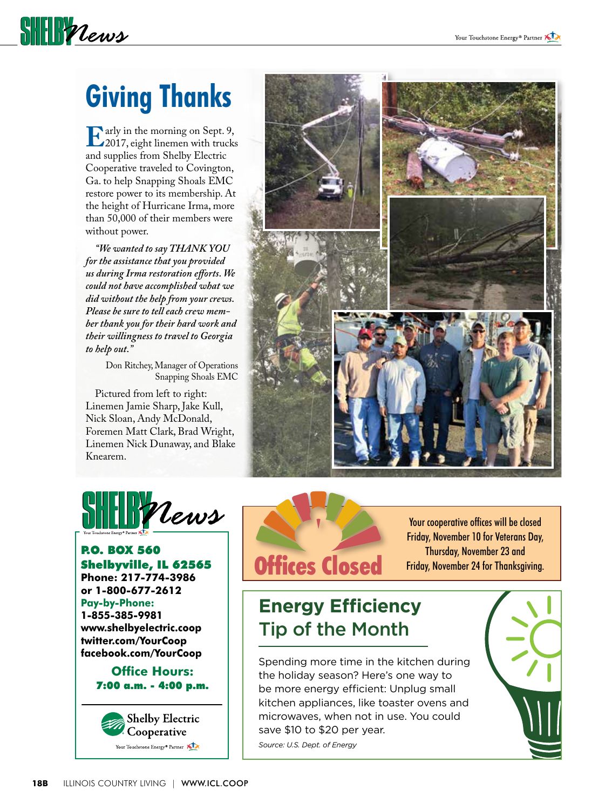## **Giving Thanks**

**SHELL** *Vews* 

**E**arly in the morning on Sept. 9,<br>2017, eight linemen with trucks<br>and sunnlies from Shelby Electric and supplies from Shelby Electric Cooperative traveled to Covington, Ga. to help Snapping Shoals EMC restore power to its membership. At the height of Hurricane Irma, more than 50,000 of their members were without power.

 *"We wanted to say THANK YOU for the assistance that you provided us during Irma restoration efforts. We could not have accomplished what we did without the help from your crews. Please be sure to tell each crew member thank you for their hard work and their willingness to travel to Georgia to help out."*

> Don Ritchey, Manager of Operations Snapping Shoals EMC

Pictured from left to right: Linemen Jamie Sharp, Jake Kull, Nick Sloan, Andy McDonald, Foremen Matt Clark, Brad Wright, Linemen Nick Dunaway, and Blake Knearem.





P.O. BOX 560 Shelbyville, IL 62565 **Phone: 217-774-3986 or 1-800-677-2612 Pay-by-Phone: 1-855-385-9981 www.shelbyelectric.coop twitter.com/YourCoop facebook.com/YourCoop**

> **Office Hours:** 7:00 a.m. - 4:00 p.m.





Your cooperative offices will be closed Friday, November 10 for Veterans Day,

### **Energy Efficiency**  Tip of the Month

Spending more time in the kitchen during the holiday season? Here's one way to be more energy efficient: Unplug small kitchen appliances, like toaster ovens and microwaves, when not in use. You could save \$10 to \$20 per year.

*Source: U.S. Dept. of Energy*

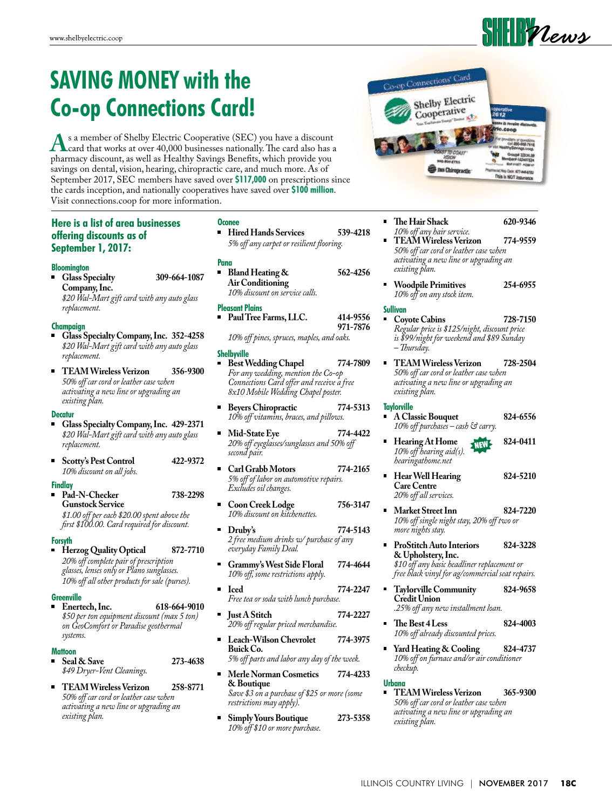### **SAVING MONEY with the Co-op Connections Card!**

**A**s a member of Shelby Electric Cooperative (SEC) you have a discount card that works at over 40,000 businesses nationally. The card also has a pharmacy discount, as well as Healthy Savinos Benefits, which provide you pharmacy discount, as well as Healthy Savings Benefits, which provide you savings on dental, vision, hearing, chiropractic care, and much more. As of September 2017, SEC members have saved over **\$117,000** on prescriptions since the cards inception, and nationally cooperatives have saved over **\$100 million**. Visit connections.coop for more information.

### **Here is a list of area businesses offering discounts as of September 1, 2017:**

#### **Bloomington**

 **Glass Specialty 309-664-1087 Company, Inc.**  *\$20 Wal-Mart gift card with any auto glass replacement.* 

#### **Champaign**

- **Glass Specialty Company, Inc. 352-4258**  *\$20 Wal-Mart gift card with any auto glass replacement.*
- **TEAM Wireless Verizon 356-9300**  *50% off car cord or leather case when activating a new line or upgrading an existing plan.*

#### **Decatur**

- **Glass Specialty Company, Inc. 429-2371**  *\$20 Wal-Mart gift card with any auto glass replacement.*
- **Scotty's Pest Control 422-9372**  *10% discount on all jobs.*

#### **Findlay**

 **Pad-N-Checker 738-2298 Gunstock Service**

*\$1.00 off per each \$20.00 spent above the first \$100.00. Card required for discount.* 

#### **Forsyth**

 **Herzog Quality Optical 872-7710**  *20% off complete pair of prescription glasses, lenses only or Plano sunglasses. 10% off all other products for sale (purses).* 

#### **Greenville**

 **Enertech, Inc. 618-664-9010**   *\$50 per ton equipment discount (max 5 ton) on GeoComfort or Paradise geothermal systems.* 

#### **Mattoon**

- **Seal & Save 273-4638**   *\$49 Dryer-Vent Cleanings.*
- **TEAM Wireless Verizon 258-8771**   *50% off car cord or leather case when activating a new line or upgrading an existing plan.*

#### **Oconee**

 **Hired Hands Services 539-4218**  *5% off any carpet or resilient flooring.*

#### **Pana**

 **Bland Heating & 562-4256 Air Conditioning**   *10% discount on service calls.* 

#### **Pleasant Plains**

 **Paul Tree Farms, LLC. 414-9556 971-7876**   *10% off pines, spruces, maples, and oaks.* 

#### **Shelbyville Best Wedding Chapel 774-7809**   *For any wedding, mention the Co-op*

- *Connections Card offer and receive a free 8x10 Mobile Wedding Chapel poster.*   **Beyers Chiropractic 774-5313**
- *10% off vitamins, braces, and pillows.*
- **Mid-State Eye 774-4422**   *20% off eyeglasses/sunglasses and 50% off second pair.*
- **Carl Grabb Motors 774-2165**   *5% off of labor on automotive repairs. Excludes oil changes.*
- **Coon Creek Lodge 756-3147**  *10% discount on kitchenettes.*
- **Druby's** 774-5143  *2 free medium drinks w/ purchase of any everyday Family Deal.*
- **Grammy's West Side Floral 774-4644**   *10% off, some restrictions apply.*
- **Iced 774-2247**   *Free tea or soda with lunch purchase.*
- **Just A Stitch 774-2227**   *20% off regular priced merchandise.*
- **Leach-Wilson Chevrolet 774-3975 Buick Co.**   *5% off parts and labor any day of the week.*
- **Merle Norman Cosmetics 774-4233 & Boutique**   *Save \$3 on a purchase of \$25 or more (some*
- *restrictions may apply).*   **Simply Yours Boutique 273-5358**   *10% off \$10 or more purchase.*



- **The Hair Shack 620-9346**   *10% off any hair service.*
- **TEAM Wireless Verizon 774-9559**   *50% off car cord or leather case when activating a new line or upgrading an existing plan.*
- **Woodpile Primitives 254-6955**   *10% off on any stock item.*

#### **Sullivan**

- **Coyote Cabins 728-7150**   *Regular price is \$125/night, discount price is \$99/night for weekend and \$89 Sunday – Thursday.*
- **TEAM Wireless Verizon 728-2504**   *50% off car cord or leather case when activating a new line or upgrading an existing plan.*

#### **Taylorville**

- **A Classic Bouquet 824-6556**   *10% off purchases – cash & carry.*
- **Hearing At Home 824-0411**  *10% off hearing aid(s). hearingathome.net* NEW
- **Hear Well Hearing 824-5210 Care Centre**   *20% off all services.*
- **Market Street Inn 824-7220**   *10% off single night stay, 20% off two or more nights stay.*
- **ProStitch Auto Interiors 824-3228 & Upholstery, Inc.**   *\$10 off any basic headliner replacement or free black vinyl for ag/commercial seat repairs.*
- **Taylorville Community 824-9658 Credit Union**   *.25% off any new installment loan.*
- **The Best 4 Less 824-4003**   *10% off already discounted prices.*
- **Yard Heating & Cooling 824-4737**   *10% off on furnace and/or air conditioner checkup.*

#### **Urbana**

 **TEAM Wireless Verizon 365-9300**   *50% off car cord or leather case when activating a new line or upgrading an existing plan.*